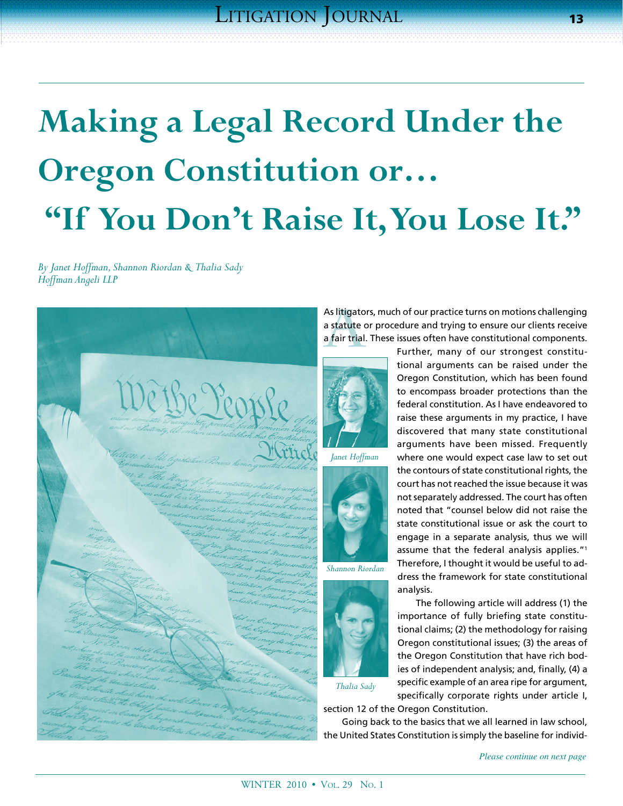# **Making a Legal Record Under the Oregon Constitution or… "If You Don't Raise It, You Lose It."**

*By Janet Hoffman, Shannon Riordan & Thalia Sady Hoffman Angeli LLP*



As litigators, much of our practice turns on motions challenging<br>
a statute or procedure and trying to ensure our clients receive<br>
a fair trial. These issues often have constitutional components.<br>
Further, many of our stro a statute or procedure and trying to ensure our clients receive a fair trial. These issues often have constitutional components.





*Shannon Riordan*



tional arguments can be raised under the Oregon Constitution, which has been found to encompass broader protections than the federal constitution. As I have endeavored to raise these arguments in my practice, I have discovered that many state constitutional arguments have been missed. Frequently where one would expect case law to set out the contours of state constitutional rights, the court has not reached the issue because it was not separately addressed. The court has often noted that "counsel below did not raise the state constitutional issue or ask the court to engage in a separate analysis, thus we will assume that the federal analysis applies."1 Therefore, I thought it would be useful to address the framework for state constitutional analysis.

Further, many of our strongest constitu-

The following article will address (1) the importance of fully briefing state constitutional claims; (2) the methodology for raising Oregon constitutional issues; (3) the areas of the Oregon Constitution that have rich bodies of independent analysis; and, finally, (4) a specific example of an area ripe for argument, specifically corporate rights under article I,

*Thalia Sady*

section 12 of the Oregon Constitution.

Going back to the basics that we all learned in law school, the United States Constitution is simply the baseline for individ-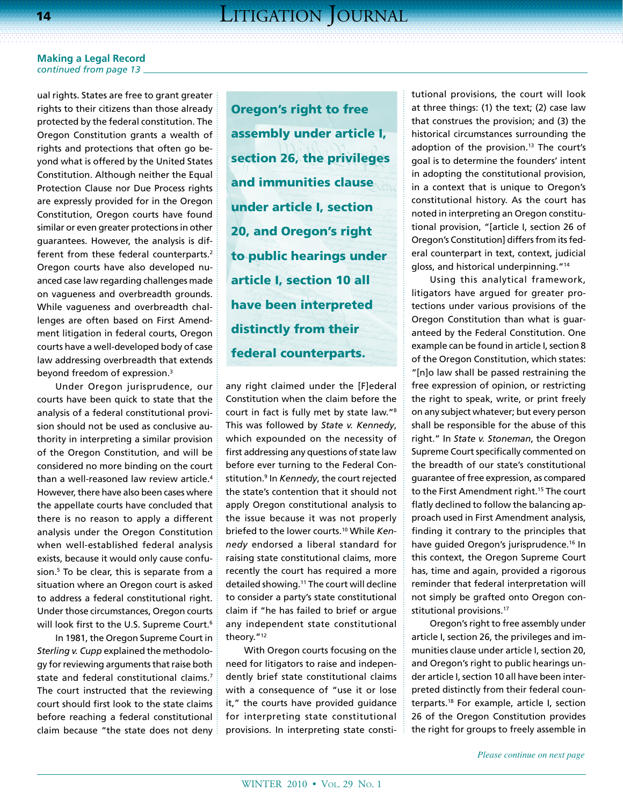ual rights. States are free to grant greater rights to their citizens than those already protected by the federal constitution. The Oregon Constitution grants a wealth of rights and protections that often go beyond what is offered by the United States Constitution. Although neither the Equal Protection Clause nor Due Process rights are expressly provided for in the Oregon Constitution, Oregon courts have found similar or even greater protections in other guarantees. However, the analysis is different from these federal counterparts.<sup>2</sup> Oregon courts have also developed nuanced case law regarding challenges made on vagueness and overbreadth grounds. While vagueness and overbreadth challenges are often based on First Amendment litigation in federal courts, Oregon courts have a well-developed body of case law addressing overbreadth that extends beyond freedom of expression.3

Under Oregon jurisprudence, our courts have been quick to state that the analysis of a federal constitutional provision should not be used as conclusive authority in interpreting a similar provision of the Oregon Constitution, and will be considered no more binding on the court than a well-reasoned law review article.4 However, there have also been cases where the appellate courts have concluded that there is no reason to apply a different analysis under the Oregon Constitution when well-established federal analysis exists, because it would only cause confusion.5 To be clear, this is separate from a situation where an Oregon court is asked to address a federal constitutional right. Under those circumstances, Oregon courts will look first to the U.S. Supreme Court.<sup>6</sup>

In 1981, the Oregon Supreme Court in *Sterling v. Cupp* explained the methodology for reviewing arguments that raise both state and federal constitutional claims.<sup>7</sup> The court instructed that the reviewing court should first look to the state claims before reaching a federal constitutional claim because "the state does not deny

Oregon's right to free assembly under article I, section 26, the privileges and immunities clause under article I, section 20, and Oregon's right to public hearings under article I, section 10 all have been interpreted distinctly from their federal counterparts.

any right claimed under the [F]ederal Constitution when the claim before the court in fact is fully met by state law."8 This was followed by *State v. Kennedy*, which expounded on the necessity of first addressing any questions of state law before ever turning to the Federal Constitution.9 In *Kennedy*, the court rejected the state's contention that it should not apply Oregon constitutional analysis to the issue because it was not properly briefed to the lower courts.10 While *Kennedy* endorsed a liberal standard for raising state constitutional claims, more recently the court has required a more detailed showing.11 The court will decline to consider a party's state constitutional claim if "he has failed to brief or argue any independent state constitutional theory."12

With Oregon courts focusing on the need for litigators to raise and independently brief state constitutional claims with a consequence of "use it or lose it," the courts have provided guidance for interpreting state constitutional provisions. In interpreting state constitutional provisions, the court will look at three things: (1) the text; (2) case law that construes the provision; and (3) the historical circumstances surrounding the adoption of the provision.<sup>13</sup> The court's goal is to determine the founders' intent in adopting the constitutional provision, in a context that is unique to Oregon's constitutional history. As the court has noted in interpreting an Oregon constitutional provision, "[article I, section 26 of Oregon's Constitution] differs from its federal counterpart in text, context, judicial gloss, and historical underpinning."14

Using this analytical framework, litigators have argued for greater protections under various provisions of the Oregon Constitution than what is guaranteed by the Federal Constitution. One example can be found in article I, section 8 of the Oregon Constitution, which states: "[n]o law shall be passed restraining the free expression of opinion, or restricting the right to speak, write, or print freely on any subject whatever; but every person shall be responsible for the abuse of this right." In *State v. Stoneman*, the Oregon Supreme Court specifically commented on the breadth of our state's constitutional guarantee of free expression, as compared to the First Amendment right.<sup>15</sup> The court flatly declined to follow the balancing approach used in First Amendment analysis, finding it contrary to the principles that have quided Oregon's jurisprudence.<sup>16</sup> In this context, the Oregon Supreme Court has, time and again, provided a rigorous reminder that federal interpretation will not simply be grafted onto Oregon constitutional provisions.<sup>17</sup>

Oregon's right to free assembly under article I, section 26, the privileges and immunities clause under article I, section 20, and Oregon's right to public hearings under article I, section 10 all have been interpreted distinctly from their federal counterparts.18 For example, article I, section 26 of the Oregon Constitution provides the right for groups to freely assemble in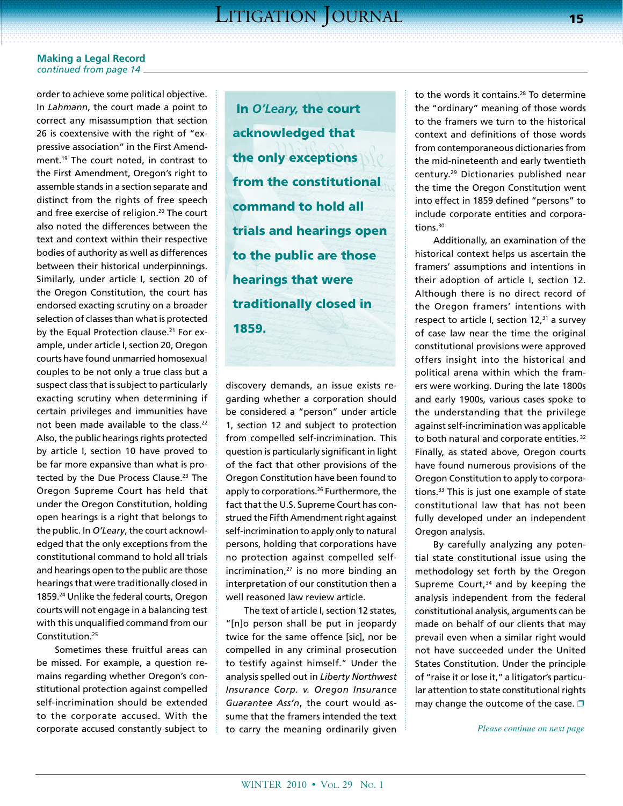order to achieve some political objective. In *Lahmann*, the court made a point to correct any misassumption that section 26 is coextensive with the right of "expressive association" in the First Amendment.19 The court noted, in contrast to the First Amendment, Oregon's right to assemble stands in a section separate and distinct from the rights of free speech and free exercise of religion.<sup>20</sup> The court also noted the differences between the text and context within their respective bodies of authority as well as differences between their historical underpinnings. Similarly, under article I, section 20 of the Oregon Constitution, the court has endorsed exacting scrutiny on a broader selection of classes than what is protected by the Equal Protection clause.<sup>21</sup> For example, under article I, section 20, Oregon courts have found unmarried homosexual couples to be not only a true class but a suspect class that is subject to particularly exacting scrutiny when determining if certain privileges and immunities have not been made available to the class.<sup>22</sup> Also, the public hearings rights protected by article I, section 10 have proved to be far more expansive than what is protected by the Due Process Clause.<sup>23</sup> The Oregon Supreme Court has held that under the Oregon Constitution, holding open hearings is a right that belongs to the public. In *O'Leary*, the court acknowledged that the only exceptions from the constitutional command to hold all trials and hearings open to the public are those hearings that were traditionally closed in 1859.<sup>24</sup> Unlike the federal courts, Oregon courts will not engage in a balancing test with this unqualified command from our Constitution.25

Sometimes these fruitful areas can be missed. For example, a question remains regarding whether Oregon's constitutional protection against compelled self-incrimination should be extended to the corporate accused. With the corporate accused constantly subject to

 In *O'Leary,* the court acknowledged that the only exceptions from the constitutional command to hold all trials and hearings open to the public are those hearings that were traditionally closed in 1859.

discovery demands, an issue exists regarding whether a corporation should be considered a "person" under article 1, section 12 and subject to protection from compelled self-incrimination. This question is particularly significant in light of the fact that other provisions of the Oregon Constitution have been found to apply to corporations.<sup>26</sup> Furthermore, the fact that the U.S. Supreme Court has construed the Fifth Amendment right against self-incrimination to apply only to natural persons, holding that corporations have no protection against compelled selfincrimination,<sup>27</sup> is no more binding an interpretation of our constitution then a well reasoned law review article.

The text of article I, section 12 states, "[n]o person shall be put in jeopardy twice for the same offence [sic], nor be compelled in any criminal prosecution to testify against himself." Under the analysis spelled out in *Liberty Northwest Insurance Corp. v. Oregon Insurance Guarantee Ass'n*, the court would assume that the framers intended the text to carry the meaning ordinarily given

to the words it contains.<sup>28</sup> To determine the "ordinary" meaning of those words to the framers we turn to the historical context and definitions of those words from contemporaneous dictionaries from the mid-nineteenth and early twentieth century.29 Dictionaries published near the time the Oregon Constitution went into effect in 1859 defined "persons" to include corporate entities and corporations.30

Additionally, an examination of the historical context helps us ascertain the framers' assumptions and intentions in their adoption of article I, section 12. Although there is no direct record of the Oregon framers' intentions with respect to article I, section  $12,31$  a survey of case law near the time the original constitutional provisions were approved offers insight into the historical and political arena within which the framers were working. During the late 1800s and early 1900s, various cases spoke to the understanding that the privilege against self-incrimination was applicable to both natural and corporate entities.<sup>32</sup> Finally, as stated above, Oregon courts have found numerous provisions of the Oregon Constitution to apply to corporations.<sup>33</sup> This is just one example of state constitutional law that has not been fully developed under an independent Oregon analysis.

By carefully analyzing any potential state constitutional issue using the methodology set forth by the Oregon Supreme Court, $34$  and by keeping the analysis independent from the federal constitutional analysis, arguments can be made on behalf of our clients that may prevail even when a similar right would not have succeeded under the United States Constitution. Under the principle of "raise it or lose it," a litigator's particular attention to state constitutional rights may change the outcome of the case.  $\square$ 

*Please continue on next page*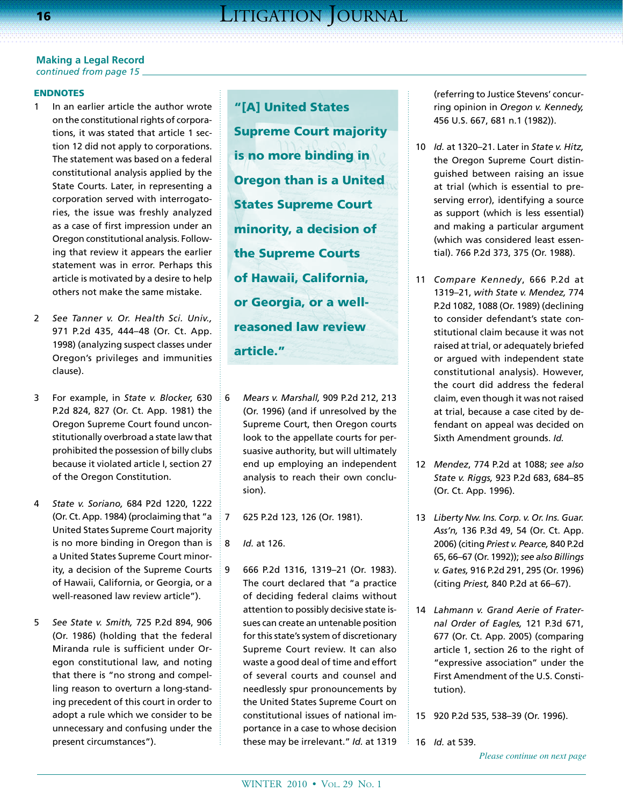# ENDNOTES

- 1 In an earlier article the author wrote on the constitutional rights of corporations, it was stated that article 1 section 12 did not apply to corporations. The statement was based on a federal constitutional analysis applied by the State Courts. Later, in representing a corporation served with interrogatories, the issue was freshly analyzed as a case of first impression under an Oregon constitutional analysis. Following that review it appears the earlier statement was in error. Perhaps this article is motivated by a desire to help others not make the same mistake.
- 2 *See Tanner v. Or. Health Sci. Univ.,*  971 P.2d 435, 444–48 (Or. Ct. App. 1998) (analyzing suspect classes under Oregon's privileges and immunities clause).
- 3 For example, in *State v. Blocker,* 630 P.2d 824, 827 (Or. Ct. App. 1981) the Oregon Supreme Court found unconstitutionally overbroad a state law that prohibited the possession of billy clubs because it violated article I, section 27 of the Oregon Constitution.
- 4 *State v. Soriano,* 684 P2d 1220, 1222 (Or. Ct. App. 1984) (proclaiming that "a United States Supreme Court majority is no more binding in Oregon than is a United States Supreme Court minority, a decision of the Supreme Courts of Hawaii, California, or Georgia, or a well-reasoned law review article").
- 5 *See State v. Smith,* 725 P.2d 894, 906 (Or. 1986) (holding that the federal Miranda rule is sufficient under Oregon constitutional law, and noting that there is "no strong and compelling reason to overturn a long-standing precedent of this court in order to adopt a rule which we consider to be unnecessary and confusing under the present circumstances").

"[A] United States Supreme Court majority is no more binding in Oregon than is a United States Supreme Court minority, a decision of the Supreme Courts of Hawaii, California, or Georgia, or a wellreasoned law review article."

- 6 *Mears v. Marshall,* 909 P.2d 212, 213 (Or. 1996) (and if unresolved by the Supreme Court, then Oregon courts look to the appellate courts for persuasive authority, but will ultimately end up employing an independent analysis to reach their own conclusion).
- 7 625 P.2d 123, 126 (Or. 1981).
- 8 *Id.* at 126.
- 9 666 P.2d 1316, 1319–21 (Or. 1983). The court declared that "a practice of deciding federal claims without attention to possibly decisive state issues can create an untenable position for this state's system of discretionary Supreme Court review. It can also waste a good deal of time and effort of several courts and counsel and needlessly spur pronouncements by the United States Supreme Court on constitutional issues of national importance in a case to whose decision these may be irrelevant." *Id.* at 1319

(referring to Justice Stevens' concurring opinion in *Oregon v. Kennedy,* 456 U.S. 667, 681 n.1 (1982)).

- 10 *Id.* at 1320–21. Later in *State v. Hitz,*  the Oregon Supreme Court distinguished between raising an issue at trial (which is essential to preserving error), identifying a source as support (which is less essential) and making a particular argument (which was considered least essential). 766 P.2d 373, 375 (Or. 1988).
- 11 *Compare Kennedy*, 666 P.2d at 1319–21, *with State v. Mendez,* 774 P.2d 1082, 1088 (Or. 1989) (declining to consider defendant's state constitutional claim because it was not raised at trial, or adequately briefed or argued with independent state constitutional analysis). However, the court did address the federal claim, even though it was not raised at trial, because a case cited by defendant on appeal was decided on Sixth Amendment grounds. *Id.*
- 12 *Mendez*, 774 P.2d at 1088; *see also State v. Riggs,* 923 P.2d 683, 684–85 (Or. Ct. App. 1996).
- 13 *Liberty Nw. Ins. Corp. v. Or. Ins. Guar. Ass'n,* 136 P.3d 49, 54 (Or. Ct. App. 2006) (citing *Priest v. Pearce,* 840 P.2d 65, 66–67 (Or. 1992)); *see also Billings v. Gates,* 916 P.2d 291, 295 (Or. 1996) (citing *Priest,* 840 P.2d at 66–67).
- 14 *Lahmann v. Grand Aerie of Fraternal Order of Eagles,* 121 P.3d 671, 677 (Or. Ct. App. 2005) (comparing article 1, section 26 to the right of "expressive association" under the First Amendment of the U.S. Constitution).
- 15 920 P.2d 535, 538–39 (Or. 1996).
- ÷ 16 *Id.* at 539.

*Please continue on next page*